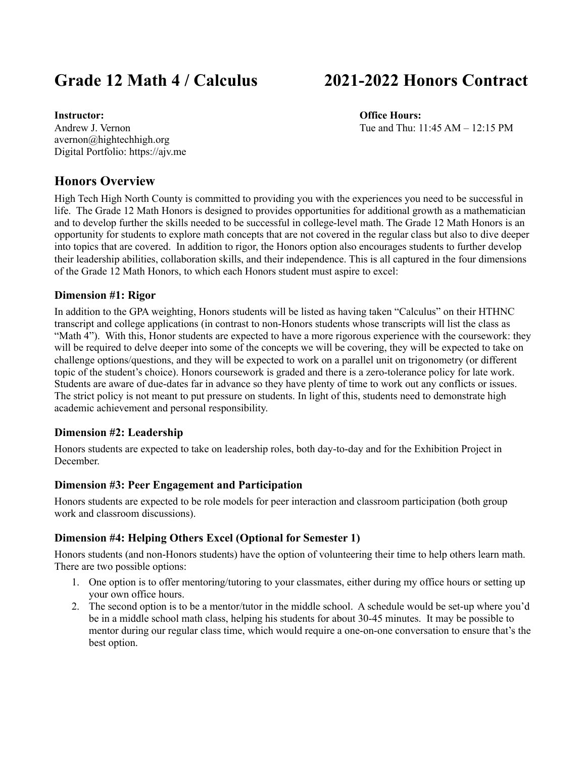## **Grade 12 Math 4 / Calculus 2021-2022 Honors Contract**

#### **Instructor: Office Hours:**

avernon@hightechhigh.org Digital Portfolio: https://ajv.me

## **Honors Overview**

High Tech High North County is committed to providing you with the experiences you need to be successful in life. The Grade 12 Math Honors is designed to provides opportunities for additional growth as a mathematician and to develop further the skills needed to be successful in college-level math. The Grade 12 Math Honors is an opportunity for students to explore math concepts that are not covered in the regular class but also to dive deeper into topics that are covered. In addition to rigor, the Honors option also encourages students to further develop their leadership abilities, collaboration skills, and their independence. This is all captured in the four dimensions of the Grade 12 Math Honors, to which each Honors student must aspire to excel:

#### **Dimension #1: Rigor**

In addition to the GPA weighting, Honors students will be listed as having taken "Calculus" on their HTHNC transcript and college applications (in contrast to non-Honors students whose transcripts will list the class as "Math 4"). With this, Honor students are expected to have a more rigorous experience with the coursework: they will be required to delve deeper into some of the concepts we will be covering, they will be expected to take on challenge options/questions, and they will be expected to work on a parallel unit on trigonometry (or different topic of the student's choice). Honors coursework is graded and there is a zero-tolerance policy for late work. Students are aware of due-dates far in advance so they have plenty of time to work out any conflicts or issues. The strict policy is not meant to put pressure on students. In light of this, students need to demonstrate high academic achievement and personal responsibility.

#### **Dimension #2: Leadership**

Honors students are expected to take on leadership roles, both day-to-day and for the Exhibition Project in December.

### **Dimension #3: Peer Engagement and Participation**

Honors students are expected to be role models for peer interaction and classroom participation (both group work and classroom discussions).

### **Dimension #4: Helping Others Excel (Optional for Semester 1)**

Honors students (and non-Honors students) have the option of volunteering their time to help others learn math. There are two possible options:

- 1. One option is to offer mentoring/tutoring to your classmates, either during my office hours or setting up your own office hours.
- 2. The second option is to be a mentor/tutor in the middle school. A schedule would be set-up where you'd be in a middle school math class, helping his students for about 30-45 minutes. It may be possible to mentor during our regular class time, which would require a one-on-one conversation to ensure that's the best option.

Andrew J. Vernon **Tue and Thu: 11:45 AM – 12:15 PM**